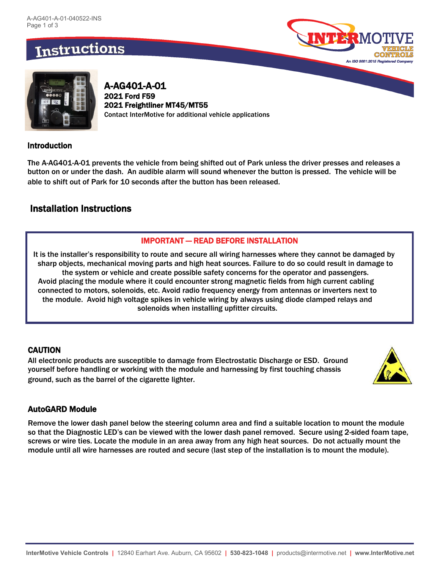# **Instructions**





A-AG401-A-01 2021 Ford F59 2021 Freightliner MT45/MT55 Contact InterMotive for additional vehicle applications

### Introduction

The A-AG401-A-01 prevents the vehicle from being shifted out of Park unless the driver presses and releases a button on or under the dash. An audible alarm will sound whenever the button is pressed. The vehicle will be able to shift out of Park for 10 seconds after the button has been released.

### Installation Instructions

### IMPORTANT — READ BEFORE INSTALLATION

It is the installer's responsibility to route and secure all wiring harnesses where they cannot be damaged by sharp objects, mechanical moving parts and high heat sources. Failure to do so could result in damage to the system or vehicle and create possible safety concerns for the operator and passengers. Avoid placing the module where it could encounter strong magnetic fields from high current cabling connected to motors, solenoids, etc. Avoid radio frequency energy from antennas or inverters next to the module. Avoid high voltage spikes in vehicle wiring by always using diode clamped relays and solenoids when installing upfitter circuits.

### **CAUTION**

All electronic products are susceptible to damage from Electrostatic Discharge or ESD. Ground yourself before handling or working with the module and harnessing by first touching chassis ground, such as the barrel of the cigarette lighter.



### AutoGARD Module

Remove the lower dash panel below the steering column area and find a suitable location to mount the module so that the Diagnostic LED's can be viewed with the lower dash panel removed. Secure using 2-sided foam tape, screws or wire ties. Locate the module in an area away from any high heat sources. Do not actually mount the module until all wire harnesses are routed and secure (last step of the installation is to mount the module).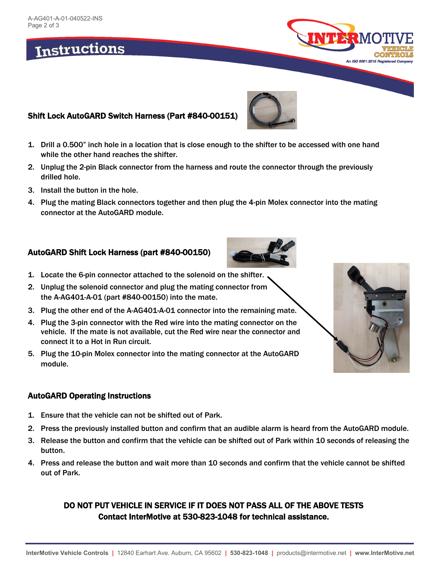# Instructions

## Shift Lock AutoGARD Switch Harness (Part #840-00151)

- 1. Drill a 0.500" inch hole in a location that is close enough to the shifter to be accessed with one hand while the other hand reaches the shifter.
- 2. Unplug the 2-pin Black connector from the harness and route the connector through the previously drilled hole.
- 3. Install the button in the hole.
- 4. Plug the mating Black connectors together and then plug the 4-pin Molex connector into the mating connector at the AutoGARD module.

### AutoGARD Shift Lock Harness (part #840-00150)

- 1. Locate the 6-pin connector attached to the solenoid on the shifter.
- 2. Unplug the solenoid connector and plug the mating connector from the A-AG401-A-01 (part #840-00150) into the mate.
- 3. Plug the other end of the A-AG401-A-01 connector into the remaining mate.
- 4. Plug the 3-pin connector with the Red wire into the mating connector on the vehicle. If the mate is not available, cut the Red wire near the connector and connect it to a Hot in Run circuit.
- 5. Plug the 10-pin Molex connector into the mating connector at the AutoGARD module.

#### AutoGARD Operating Instructions

- 1. Ensure that the vehicle can not be shifted out of Park.
- 2. Press the previously installed button and confirm that an audible alarm is heard from the AutoGARD module.
- 3. Release the button and confirm that the vehicle can be shifted out of Park within 10 seconds of releasing the button.
- 4. Press and release the button and wait more than 10 seconds and confirm that the vehicle cannot be shifted out of Park.

### DO NOT PUT VEHICLE IN SERVICE IF IT DOES NOT PASS ALL OF THE ABOVE TESTS Contact InterMotive at 530-823-1048 for technical assistance.